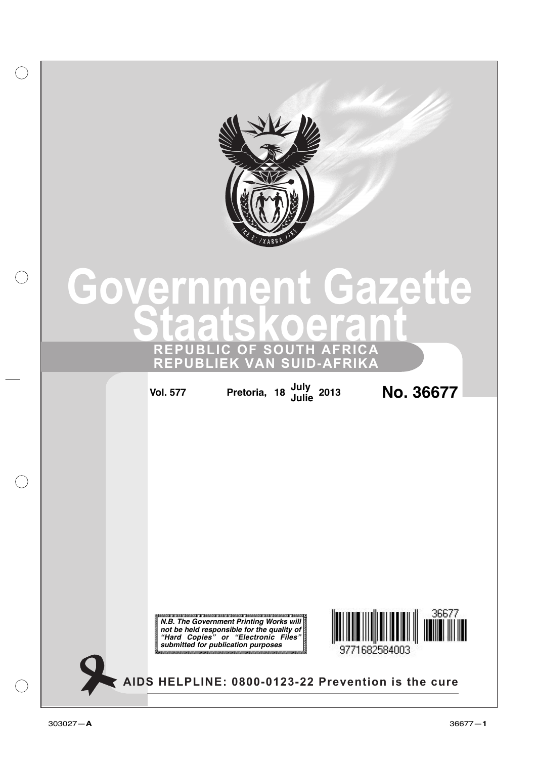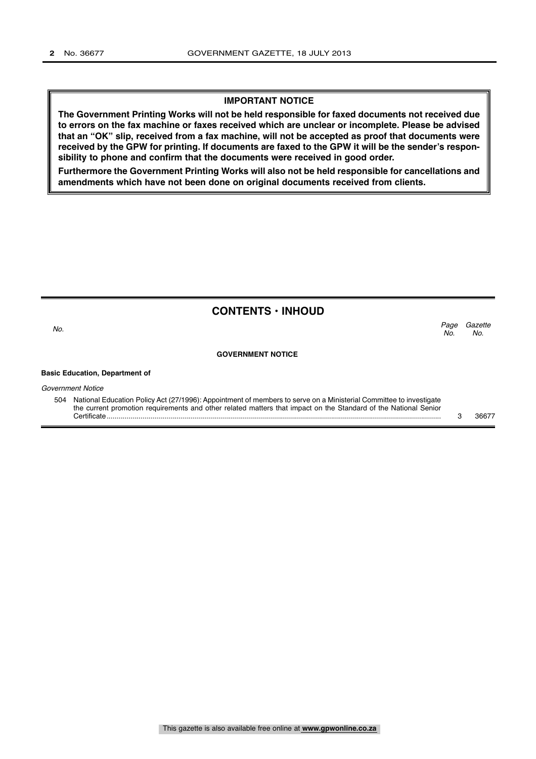#### **IMPORTANT NOTICE**

**The Government Printing Works will not be held responsible for faxed documents not received due to errors on the fax machine or faxes received which are unclear or incomplete. Please be advised that an "OK" slip, received from a fax machine, will not be accepted as proof that documents were received by the GPW for printing. If documents are faxed to the GPW it will be the sender's responsibility to phone and confirm that the documents were received in good order.**

**Furthermore the Government Printing Works will also not be held responsible for cancellations and amendments which have not been done on original documents received from clients.**

| <b>CONTENTS · INHOUD</b> |  |
|--------------------------|--|
|--------------------------|--|

Gazette No. Page<br>No. No.<br>No.

#### **GOVERNMENT NOTICE**

#### **Basic Education, Department of**

Government Notice

504 National Education Policy Act (27/1996): Appointment of members to serve on a Ministerial Committee to investigate the current promotion requirements and other related matters that impact on the Standard of the National Senior Certificate....................................................................................................................................................................... 3 36677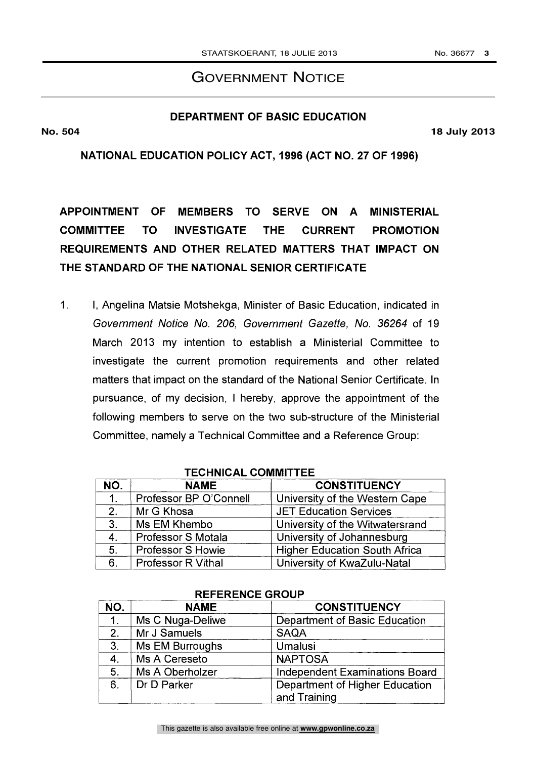## GOVERNMENT NOTICE

### **DEPARTMENT OF BASIC EDUCATION**

**No. 504 18 July 2013**

### NATIONAL EDUCATION POLICY ACT, 1996 (ACT NO. 27 OF 1996)

# APPOINTMENT OF MEMBERS TO SERVE ON A MINISTERIAL COMMITTEE TO INVESTIGATE THE CURRENT PROMOTION REQUIREMENTS AND OTHER RELATED MATTERS THAT IMPACT ON THE STANDARD OF THE NATIONAL SENIOR CERTIFICATE

1. I, Angelina Matsie Motshekga, Minister of Basic Education, indicated in Government Notice No. 206, Government Gazette, No. 36264 of 19 March 2013 my intention to establish a Ministerial Committee to investigate the current promotion requirements and other related matters that impact on the standard of the National Senior Certificate. In pursuance, of my decision, <sup>I</sup> hereby, approve the appointment of the following members to serve on the two sub-structure of the Ministerial Committee, namely a Technical Committee and a Reference Group:

| I EVNINIVAL VVIIIIII I I EE |                           |                                      |  |
|-----------------------------|---------------------------|--------------------------------------|--|
| NO.                         | <b>NAME</b>               | <b>CONSTITUENCY</b>                  |  |
| 1.                          | Professor BP O'Connell    | University of the Western Cape       |  |
| 2.                          | Mr G Khosa                | <b>JET Education Services</b>        |  |
| 3 <sub>1</sub>              | Ms EM Khembo              | University of the Witwatersrand      |  |
| 4.                          | Professor S Motala        | University of Johannesburg           |  |
| 5.                          | Professor S Howie         | <b>Higher Education South Africa</b> |  |
| 6 <sub>1</sub>              | <b>Professor R Vithal</b> | University of KwaZulu-Natal          |  |

TECHNICAL COMMITTEE

#### REFERENCE GROUP

| NO. | <b>NAME</b>      | <b>CONSTITUENCY</b>                   |
|-----|------------------|---------------------------------------|
| 1.  | Ms C Nuga-Deliwe | Department of Basic Education         |
| 2.  | Mr J Samuels     | <b>SAQA</b>                           |
| 3.  | Ms EM Burroughs  | Umalusi                               |
| 4.  | Ms A Cereseto    | <b>NAPTOSA</b>                        |
| 5.  | Ms A Oberholzer  | <b>Independent Examinations Board</b> |
| 6.  | Dr D Parker      | Department of Higher Education        |
|     |                  | and Training                          |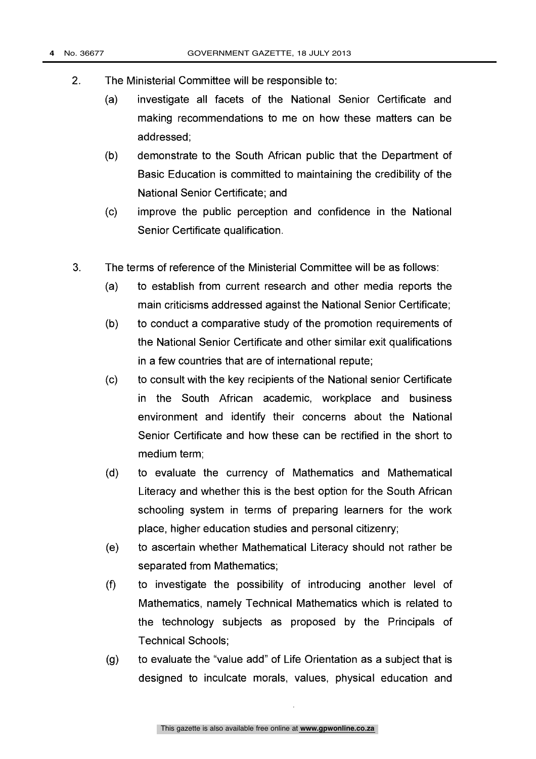- 2. The Ministerial Committee will be responsible to:
	- (a) investigate all facets of the National Senior Certificate and making recommendations to me on how these matters can be addressed;
	- (b) demonstrate to the South African public that the Department of Basic Education is committed to maintaining the credibility of the National Senior Certificate; and
	- (c) improve the public perception and confidence in the National Senior Certificate qualification.
- 3. The terms of reference of the Ministerial Committee will be as follows:
	- (a) to establish from current research and other media reports the main criticisms addressed against the National Senior Certificate;
	- (b) to conduct a comparative study of the promotion requirements of the National Senior Certificate and other similar exit qualifications in a few countries that are of international repute;
	- (c) to consult with the key recipients of the National senior Certificate in the South African academic, workplace and business environment and identify their concerns about the National Senior Certificate and how these can be rectified in the short to medium term;
	- (d) to evaluate the currency of Mathematics and Mathematical Literacy and whether this is the best option for the South African schooling system in terms of preparing learners for the work place, higher education studies and personal citizenry;
	- (e) to ascertain whether Mathematical Literacy should not rather be separated from Mathematics;
	- (f) to investigate the possibility of introducing another level of Mathematics, namely Technical Mathematics which is related to the technology subjects as proposed by the Principals of Technical Schools;
	- (g) to evaluate the "value add" of Life Orientation as a subject that is designed to inculcate morals, values, physical education and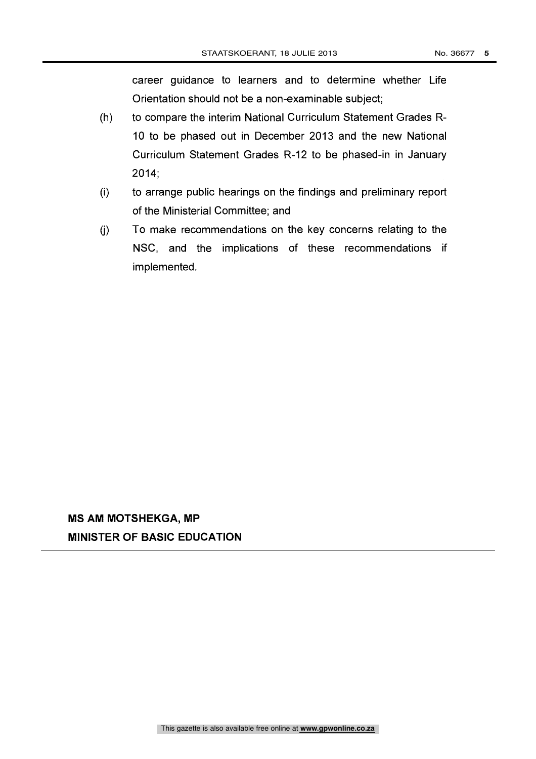career guidance to learners and to determine whether Life Orientation should not be a non-examinable subject;

- (h) to compare the interim National Curriculum Statement Grades R-10 to be phased out in December 2013 and the new National Curriculum Statement Grades R-12 to be phased-in in January 2014;
- (i) to arrange public hearings on the findings and preliminary report of the Ministerial Committee; and
- (j) To make recommendations on the key concerns relating to the NSC, and the implications of these recommendations if implemented.

MS AM MOTSHEKGA, MP MINISTER OF BASIC EDUCATION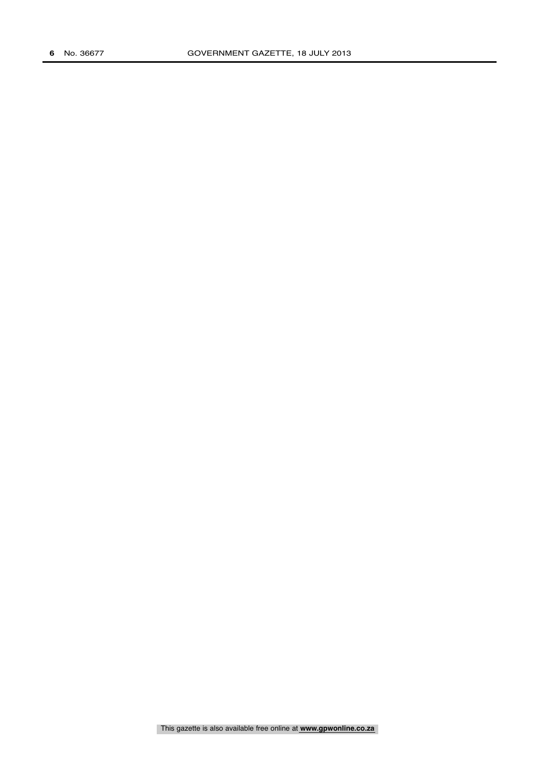This gazette is also available free online at **www.gpwonline.co.za**